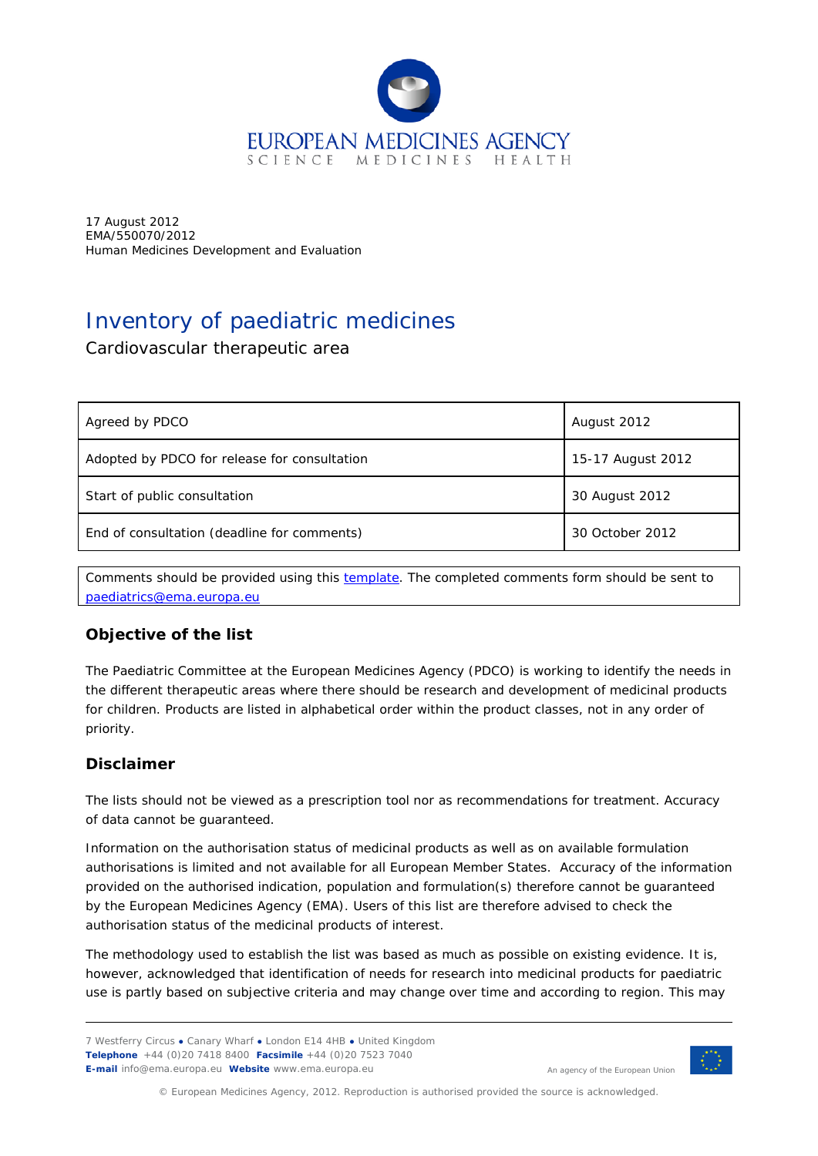

17 August 2012 EMA/550070/2012 Human Medicines Development and Evaluation

# Inventory of paediatric medicines

### Cardiovascular therapeutic area

| Agreed by PDCO                               | August 2012       |
|----------------------------------------------|-------------------|
| Adopted by PDCO for release for consultation | 15-17 August 2012 |
| Start of public consultation                 | 30 August 2012    |
| End of consultation (deadline for comments)  | 30 October 2012   |

Comments should be provided using this [template.](http://www.ema.europa.eu/docs/en_GB/document_library/Template_or_form/2009/10/WC500004016.doc) The completed comments form should be sent to [paediatrics@ema.europa.eu](mailto:paediatrics@ema.europa.eu)

## **Objective of the list**

The Paediatric Committee at the European Medicines Agency (PDCO) is working to identify the needs in the different therapeutic areas where there should be research and development of medicinal products for children. Products are listed in alphabetical order within the product classes, not in any order of priority.

#### **Disclaimer**

The lists should not be viewed as a prescription tool nor as recommendations for treatment. Accuracy of data cannot be guaranteed.

Information on the authorisation status of medicinal products as well as on available formulation authorisations is limited and not available for all European Member States. Accuracy of the information provided on the authorised indication, population and formulation(s) therefore cannot be guaranteed by the European Medicines Agency (EMA). Users of this list are therefore advised to check the authorisation status of the medicinal products of interest.

The methodology used to establish the list was based as much as possible on existing evidence. It is, however, acknowledged that identification of needs for research into medicinal products for paediatric use is partly based on subjective criteria and may change over time and according to region. This may

7 Westferry Circus **●** Canary Wharf **●** London E14 4HB **●** United Kingdom **Telephone** +44 (0)20 7418 8400 **Facsimile** +44 (0)20 7523 7040 **E-mail** info@ema.europa.eu **Website** www.ema.europa.eu



An agency of the European Union

© European Medicines Agency, 2012. Reproduction is authorised provided the source is acknowledged.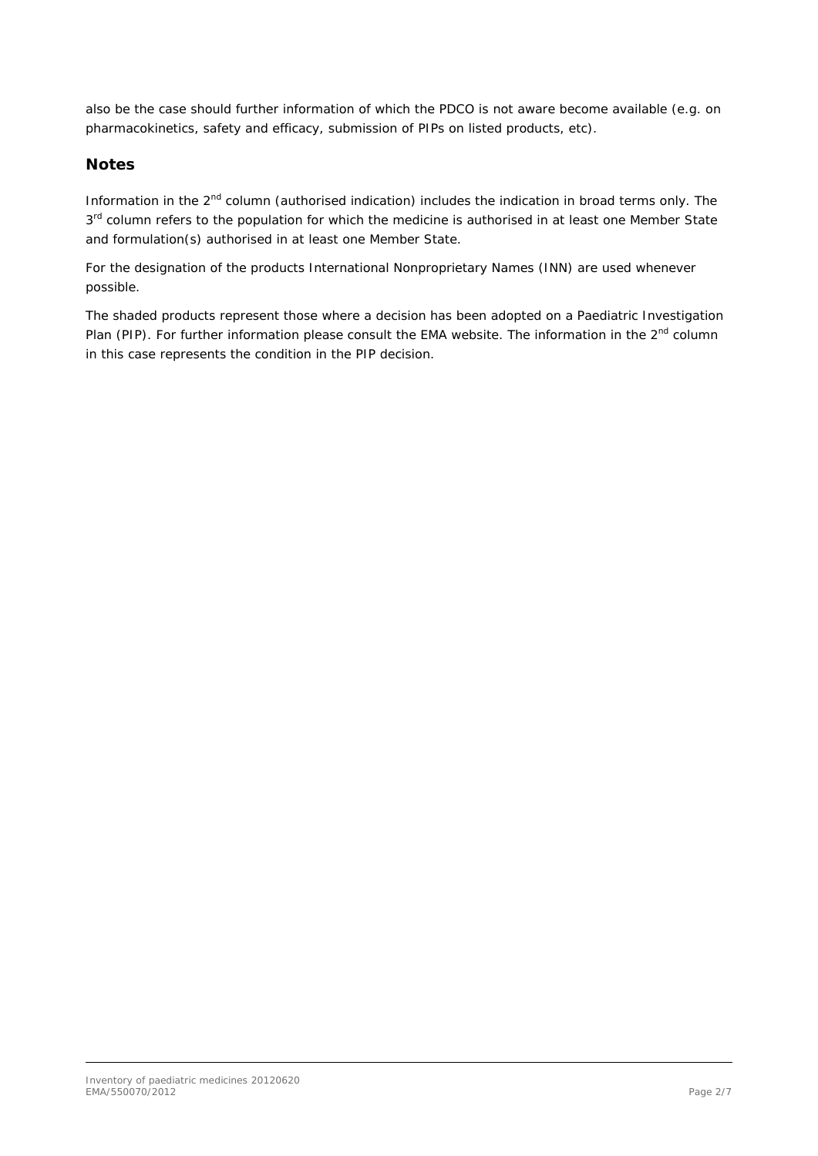also be the case should further information of which the PDCO is not aware become available (e.g. on pharmacokinetics, safety and efficacy, submission of PIPs on listed products, etc).

#### **Notes**

Information in the 2<sup>nd</sup> column (authorised indication) includes the indication in broad terms only. The 3<sup>rd</sup> column refers to the population for which the medicine is authorised in at least one Member State and formulation(s) authorised in at least one Member State.

For the designation of the products International Nonproprietary Names (INN) are used whenever possible.

The shaded products represent those where a decision has been adopted on a Paediatric Investigation Plan (PIP). For further information please consult the EMA website. The information in the 2<sup>nd</sup> column in this case represents the condition in the PIP decision.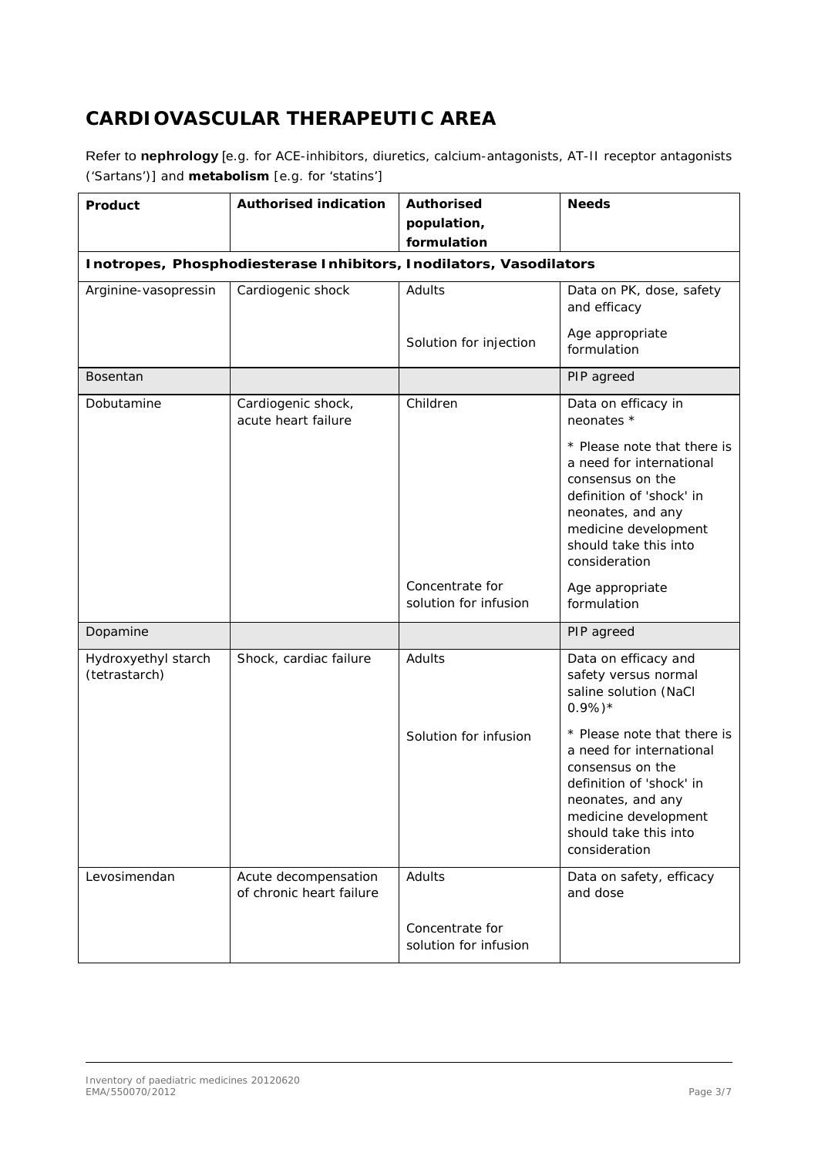# **CARDIOVASCULAR THERAPEUTIC AREA**

Refer to **nephrology** [e.g. for ACE-inhibitors, diuretics, calcium-antagonists, AT-II receptor antagonists ('Sartans')] and **metabolism** [e.g. for 'statins']

| Product                              | <b>Authorised indication</b>                                       | <b>Authorised</b><br>population,<br>formulation | <b>Needs</b>                                                                                                                                                                                   |
|--------------------------------------|--------------------------------------------------------------------|-------------------------------------------------|------------------------------------------------------------------------------------------------------------------------------------------------------------------------------------------------|
|                                      | Inotropes, Phosphodiesterase Inhibitors, Inodilators, Vasodilators |                                                 |                                                                                                                                                                                                |
| Arginine-vasopressin                 | Cardiogenic shock                                                  | Adults                                          | Data on PK, dose, safety<br>and efficacy                                                                                                                                                       |
|                                      |                                                                    | Solution for injection                          | Age appropriate<br>formulation                                                                                                                                                                 |
| Bosentan                             |                                                                    |                                                 | PIP agreed                                                                                                                                                                                     |
| Dobutamine                           | Cardiogenic shock,<br>acute heart failure                          | Children                                        | Data on efficacy in<br>neonates *<br>* Please note that there is<br>a need for international                                                                                                   |
|                                      |                                                                    |                                                 | consensus on the<br>definition of 'shock' in<br>neonates, and any<br>medicine development<br>should take this into<br>consideration                                                            |
|                                      |                                                                    | Concentrate for<br>solution for infusion        | Age appropriate<br>formulation                                                                                                                                                                 |
| Dopamine                             |                                                                    |                                                 | PIP agreed                                                                                                                                                                                     |
| Hydroxyethyl starch<br>(tetrastarch) | Shock, cardiac failure                                             | Adults                                          | Data on efficacy and<br>safety versus normal<br>saline solution (NaCl<br>$0.9\%)*$                                                                                                             |
|                                      |                                                                    | Solution for infusion                           | * Please note that there is<br>a need for international<br>consensus on the<br>definition of 'shock' in<br>neonates, and any<br>medicine development<br>should take this into<br>consideration |
| Levosimendan                         | Acute decompensation<br>of chronic heart failure                   | Adults                                          | Data on safety, efficacy<br>and dose                                                                                                                                                           |
|                                      |                                                                    | Concentrate for<br>solution for infusion        |                                                                                                                                                                                                |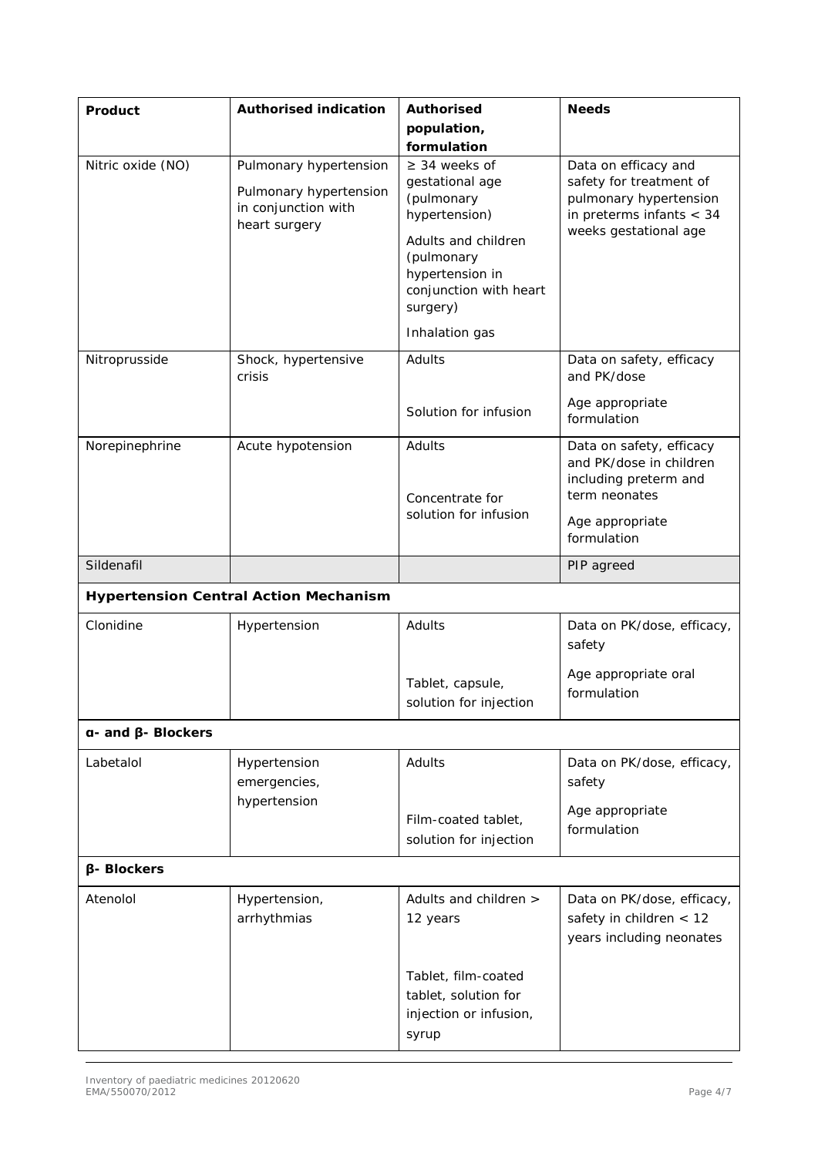| Product                      | <b>Authorised indication</b>                                                             | <b>Authorised</b>                                                                                                                                                  | <b>Needs</b>                                                                                                                     |
|------------------------------|------------------------------------------------------------------------------------------|--------------------------------------------------------------------------------------------------------------------------------------------------------------------|----------------------------------------------------------------------------------------------------------------------------------|
|                              |                                                                                          | population,                                                                                                                                                        |                                                                                                                                  |
|                              |                                                                                          | formulation                                                                                                                                                        |                                                                                                                                  |
| Nitric oxide (NO)            | Pulmonary hypertension<br>Pulmonary hypertension<br>in conjunction with<br>heart surgery | $\geq$ 34 weeks of<br>gestational age<br>(pulmonary<br>hypertension)<br>Adults and children<br>(pulmonary<br>hypertension in<br>conjunction with heart<br>surgery) | Data on efficacy and<br>safety for treatment of<br>pulmonary hypertension<br>in preterms infants $< 34$<br>weeks gestational age |
|                              |                                                                                          | Inhalation gas                                                                                                                                                     |                                                                                                                                  |
| Nitroprusside                | Shock, hypertensive<br>crisis                                                            | Adults                                                                                                                                                             | Data on safety, efficacy<br>and PK/dose                                                                                          |
|                              |                                                                                          | Solution for infusion                                                                                                                                              | Age appropriate<br>formulation                                                                                                   |
| Norepinephrine               | Acute hypotension                                                                        | Adults<br>Concentrate for<br>solution for infusion                                                                                                                 | Data on safety, efficacy<br>and PK/dose in children<br>including preterm and<br>term neonates                                    |
|                              |                                                                                          |                                                                                                                                                                    | Age appropriate<br>formulation                                                                                                   |
| Sildenafil                   |                                                                                          |                                                                                                                                                                    | PIP agreed                                                                                                                       |
|                              | <b>Hypertension Central Action Mechanism</b>                                             |                                                                                                                                                                    |                                                                                                                                  |
| Clonidine                    | Hypertension                                                                             | Adults                                                                                                                                                             | Data on PK/dose, efficacy,<br>safety                                                                                             |
|                              |                                                                                          | Tablet, capsule,<br>solution for injection                                                                                                                         | Age appropriate oral<br>formulation                                                                                              |
| $a$ - and $\beta$ - Blockers |                                                                                          |                                                                                                                                                                    |                                                                                                                                  |
| Labetalol                    | Hypertension<br>emergencies,                                                             | Adults                                                                                                                                                             | Data on PK/dose, efficacy,<br>safety                                                                                             |
|                              | hypertension                                                                             | Film-coated tablet,<br>solution for injection                                                                                                                      | Age appropriate<br>formulation                                                                                                   |
| <b>β-Blockers</b>            |                                                                                          |                                                                                                                                                                    |                                                                                                                                  |
| Atenolol                     | Hypertension,<br>arrhythmias                                                             | Adults and children ><br>12 years                                                                                                                                  | Data on PK/dose, efficacy,<br>safety in children $<$ 12<br>years including neonates                                              |
|                              |                                                                                          | Tablet, film-coated<br>tablet, solution for<br>injection or infusion,<br>syrup                                                                                     |                                                                                                                                  |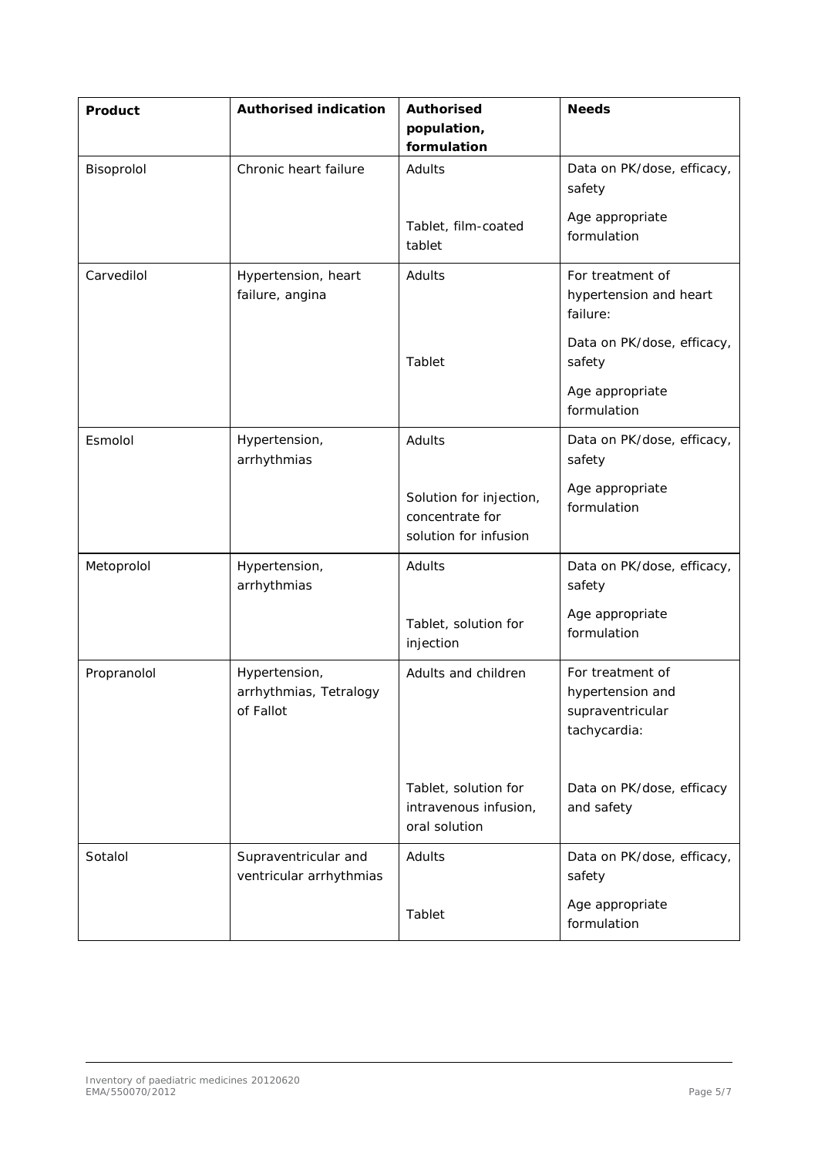| Product     | <b>Authorised indication</b>                         | <b>Authorised</b><br>population,<br>formulation                     | <b>Needs</b>                                                             |
|-------------|------------------------------------------------------|---------------------------------------------------------------------|--------------------------------------------------------------------------|
| Bisoprolol  | Chronic heart failure                                | Adults                                                              | Data on PK/dose, efficacy,<br>safety                                     |
|             |                                                      | Tablet, film-coated<br>tablet                                       | Age appropriate<br>formulation                                           |
| Carvedilol  | Hypertension, heart<br>failure, angina               | Adults                                                              | For treatment of<br>hypertension and heart<br>failure:                   |
|             |                                                      | Tablet                                                              | Data on PK/dose, efficacy,<br>safety                                     |
|             |                                                      |                                                                     | Age appropriate<br>formulation                                           |
| Esmolol     | Hypertension,<br>arrhythmias                         | Adults                                                              | Data on PK/dose, efficacy,<br>safety                                     |
|             |                                                      | Solution for injection,<br>concentrate for<br>solution for infusion | Age appropriate<br>formulation                                           |
| Metoprolol  | Hypertension,<br>arrhythmias                         | Adults                                                              | Data on PK/dose, efficacy,<br>safety                                     |
|             |                                                      | Tablet, solution for<br>injection                                   | Age appropriate<br>formulation                                           |
| Propranolol | Hypertension,<br>arrhythmias, Tetralogy<br>of Fallot | Adults and children                                                 | For treatment of<br>hypertension and<br>supraventricular<br>tachycardia: |
|             |                                                      | Tablet, solution for<br>intravenous infusion,<br>oral solution      | Data on PK/dose, efficacy<br>and safety                                  |
| Sotalol     | Supraventricular and<br>ventricular arrhythmias      | Adults                                                              | Data on PK/dose, efficacy,<br>safety                                     |
|             |                                                      | Tablet                                                              | Age appropriate<br>formulation                                           |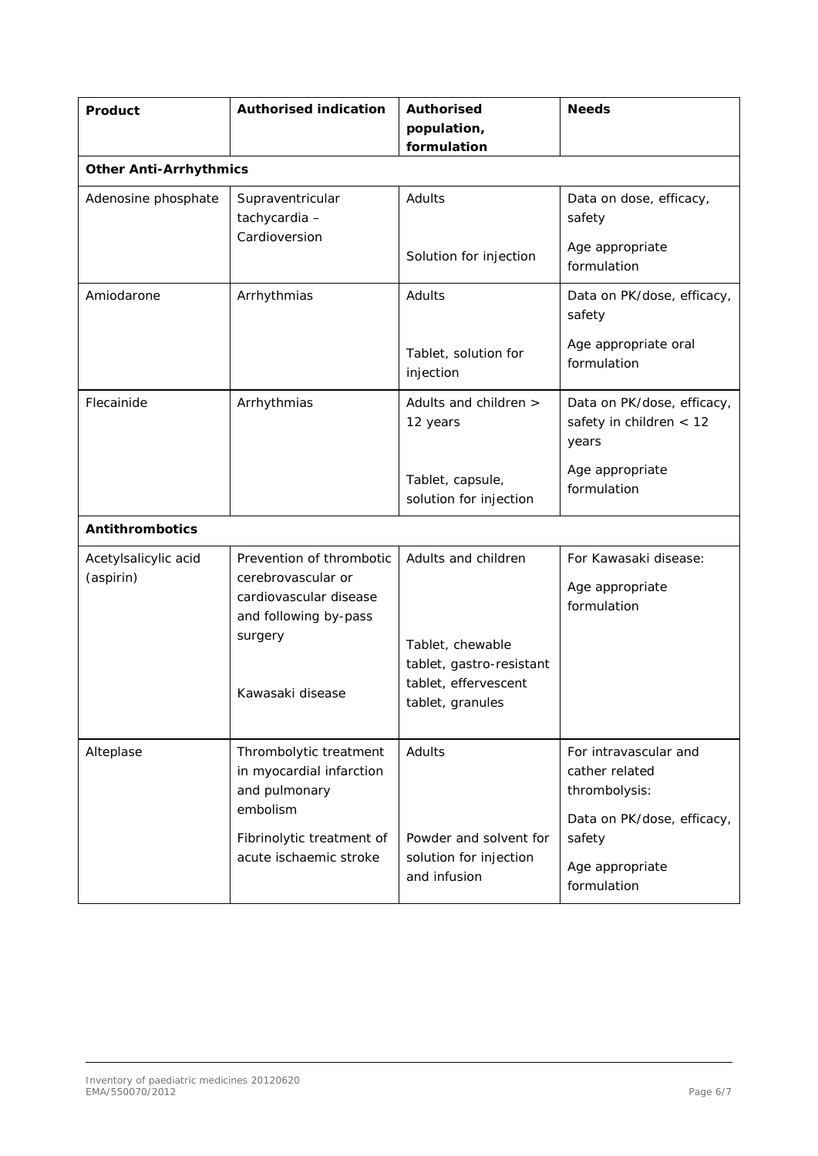| Product                           | <b>Authorised indication</b>                                                                      | <b>Authorised</b><br>population,<br>formulation                                          | <b>Needs</b>                                                                           |
|-----------------------------------|---------------------------------------------------------------------------------------------------|------------------------------------------------------------------------------------------|----------------------------------------------------------------------------------------|
| <b>Other Anti-Arrhythmics</b>     |                                                                                                   |                                                                                          |                                                                                        |
| Adenosine phosphate               | Supraventricular<br>tachycardia-<br>Cardioversion                                                 | Adults                                                                                   | Data on dose, efficacy,<br>safety                                                      |
|                                   |                                                                                                   | Solution for injection                                                                   | Age appropriate<br>formulation                                                         |
| Amiodarone                        | Arrhythmias                                                                                       | Adults                                                                                   | Data on PK/dose, efficacy,<br>safety                                                   |
|                                   |                                                                                                   | Tablet, solution for<br>injection                                                        | Age appropriate oral<br>formulation                                                    |
| Flecainide                        | Arrhythmias                                                                                       | Adults and children ><br>12 years                                                        | Data on PK/dose, efficacy,<br>safety in children $<$ 12<br>years                       |
|                                   |                                                                                                   | Tablet, capsule,<br>solution for injection                                               | Age appropriate<br>formulation                                                         |
| <b>Antithrombotics</b>            |                                                                                                   |                                                                                          |                                                                                        |
| Acetylsalicylic acid<br>(aspirin) | Prevention of thrombotic<br>cerebrovascular or<br>cardiovascular disease<br>and following by-pass | Adults and children                                                                      | For Kawasaki disease:<br>Age appropriate<br>formulation                                |
|                                   | surgery<br>Kawasaki disease                                                                       | Tablet, chewable<br>tablet, gastro-resistant<br>tablet, effervescent<br>tablet, granules |                                                                                        |
| Alteplase                         | Thrombolytic treatment<br>in myocardial infarction<br>and pulmonary<br>embolism                   | Adults                                                                                   | For intravascular and<br>cather related<br>thrombolysis:<br>Data on PK/dose, efficacy, |
|                                   | Fibrinolytic treatment of<br>acute ischaemic stroke                                               | Powder and solvent for<br>solution for injection<br>and infusion                         | safety<br>Age appropriate<br>formulation                                               |